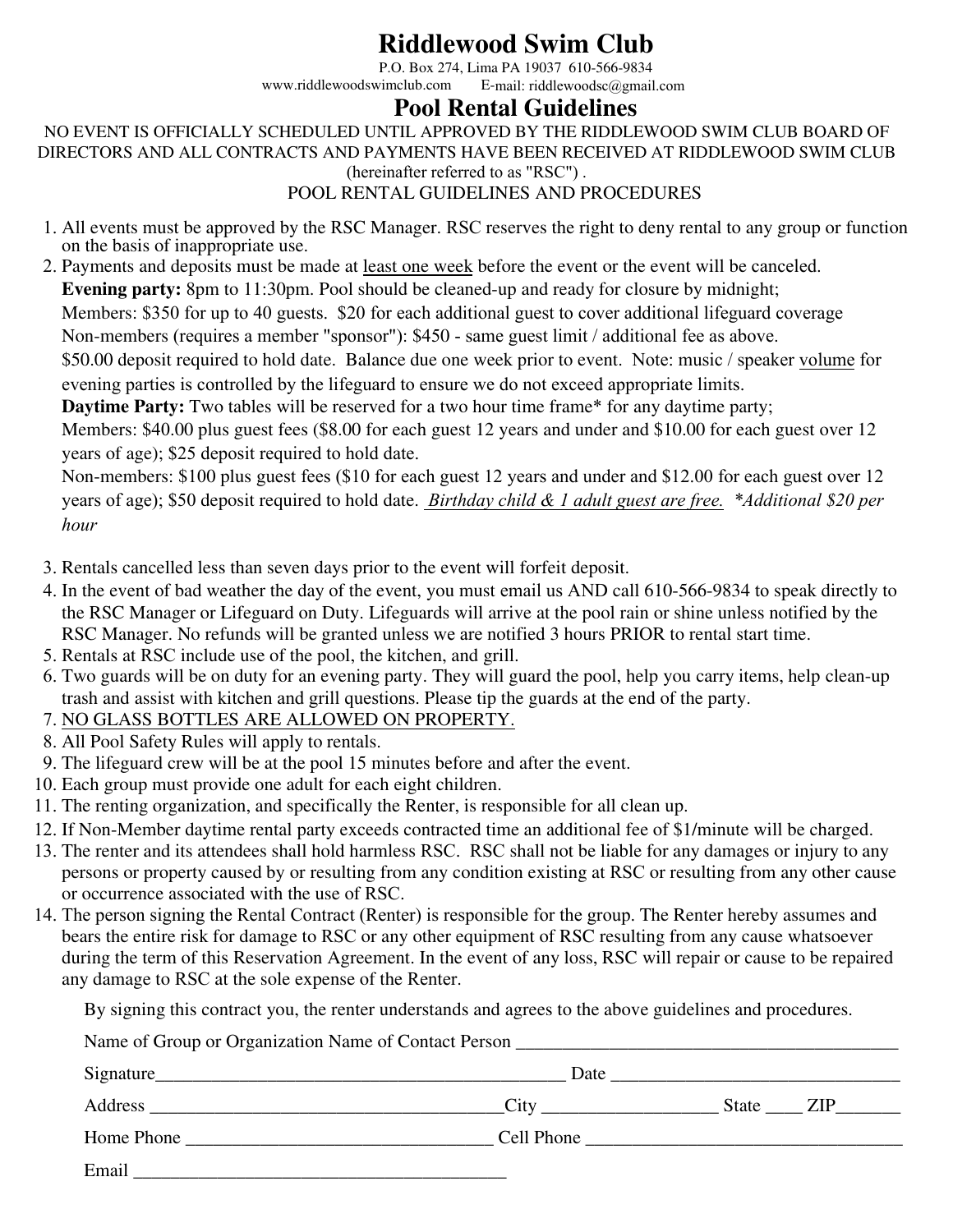# **Riddlewood Swim Club**

P.O. Box 274, Lima PA 19037 610-566-9834<br>www.riddlewoodswimclub.com E-mail: riddlewoodsc@gmail E-mail: riddlewoodsc@gmail.com

### **Pool Rental Guidelines**

NO EVENT IS OFFICIALLY SCHEDULED UNTIL APPROVED BY THE RIDDLEWOOD SWIM CLUB BOARD OF DIRECTORS AND ALL CONTRACTS AND PAYMENTS HAVE BEEN RECEIVED AT RIDDLEWOOD SWIM CLUB (hereinafter referred to as "RSC") .

#### POOL RENTAL GUIDELINES AND PROCEDURES

- 1. All events must be approved by the RSC Manager. RSC reserves the right to deny rental to any group or function on the basis of inappropriate use.
- 2. Payments and deposits must be made at least one week before the event or the event will be canceled. **Evening party:** 8pm to 11:30pm. Pool should be cleaned-up and ready for closure by midnight; Members: \$350 for up to 40 guests. \$20 for each additional guest to cover additional lifeguard coverage

Non-members (requires a member "sponsor"): \$450 - same guest limit / additional fee as above.

\$50.00 deposit required to hold date. Balance due one week prior to event. Note: music / speaker volume for evening parties is controlled by the lifeguard to ensure we do not exceed appropriate limits.

**Daytime Party:** Two tables will be reserved for a two hour time frame\* for any daytime party;

Members: \$40.00 plus guest fees (\$8.00 for each guest 12 years and under and \$10.00 for each guest over 12 years of age); \$25 deposit required to hold date.

Non-members: \$100 plus guest fees (\$10 for each guest 12 years and under and \$12.00 for each guest over 12 years of age); \$50 deposit required to hold date. *Birthday child & 1 adult guest are free. \*Additional \$20 per hour*

- 3. Rentals cancelled less than seven days prior to the event will forfeit deposit.
- 4. In the event of bad weather the day of the event, you must email us AND call 610-566-9834 to speak directly to the RSC Manager or Lifeguard on Duty. Lifeguards will arrive at the pool rain or shine unless notified by the RSC Manager. No refunds will be granted unless we are notified 3 hours PRIOR to rental start time.
- 5. Rentals at RSC include use of the pool, the kitchen, and grill.
- 6. Two guards will be on duty for an evening party. They will guard the pool, help you carry items, help clean-up trash and assist with kitchen and grill questions. Please tip the guards at the end of the party.
- 7. NO GLASS BOTTLES ARE ALLOWED ON PROPERTY.
- 8. All Pool Safety Rules will apply to rentals.
- 9. The lifeguard crew will be at the pool 15 minutes before and after the event.
- 10. Each group must provide one adult for each eight children.
- 11. The renting organization, and specifically the Renter, is responsible for all clean up.
- 12. If Non-Member daytime rental party exceeds contracted time an additional fee of \$1/minute will be charged.
- 13. The renter and its attendees shall hold harmless RSC. RSC shall not be liable for any damages or injury to any persons or property caused by or resulting from any condition existing at RSC or resulting from any other cause or occurrence associated with the use of RSC.
- 14. The person signing the Rental Contract (Renter) is responsible for the group. The Renter hereby assumes and bears the entire risk for damage to RSC or any other equipment of RSC resulting from any cause whatsoever during the term of this Reservation Agreement. In the event of any loss, RSC will repair or cause to be repaired any damage to RSC at the sole expense of the Renter.

By signing this contract you, the renter understands and agrees to the above guidelines and procedures.

| Name of Group or Organization Name of Contact Person |  |  |           |  |  |
|------------------------------------------------------|--|--|-----------|--|--|
|                                                      |  |  |           |  |  |
|                                                      |  |  | State ZIP |  |  |
|                                                      |  |  |           |  |  |
| Email                                                |  |  |           |  |  |